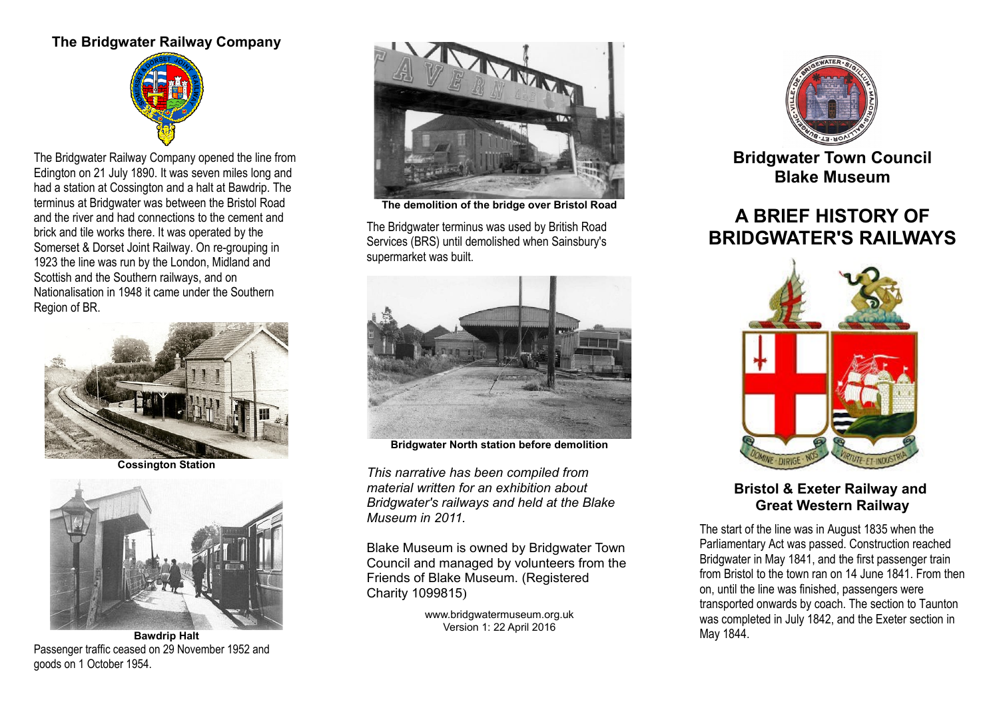# **The Bridgwater Railway Company**



The Bridgwater Railway Company opened the line from Edington on 21 July 1890. It was seven miles long and had a station at Cossington and a halt at Bawdrip. The terminus at Bridgwater was between the Bristol Road and the river and had connections to the cement and brick and tile works there. It was operated by the Somerset & Dorset Joint Railway. On re-grouping in 1923 the line was run by the London, Midland and Scottish and the Southern railways, and on Nationalisation in 1948 it came under the Southern Region of BR.



**Cossington Station**



**Bawdrip Halt** Passenger traffic ceased on 29 November 1952 and goods on 1 October 1954.



**The demolition of the bridge over Bristol Road**

The Bridgwater terminus was used by British Road Services (BRS) until demolished when Sainsbury's supermarket was built.



**Bridgwater North station before demolition**

*This narrative has been compiled from material written for an exhibition about Bridgwater's railways and held at the Blake Museum in 2011.*

Blake Museum is owned by Bridgwater Town Council and managed by volunteers from the Friends of Blake Museum. (Registered Charity 1099815)

> www.bridgwatermuseum.org.uk Version 1: 22 April 2016



**Bridgwater Town Council Blake Museum**

# **A BRIEF HISTORY OF BRIDGWATER'S RAILWAYS**



#### **Bristol & Exeter Railway and Great Western Railway**

The start of the line was in August 1835 when the Parliamentary Act was passed. Construction reached Bridgwater in May 1841, and the first passenger train from Bristol to the town ran on 14 June 1841. From then on, until the line was finished, passengers were transported onwards by coach. The section to Taunton was completed in July 1842, and the Exeter section in May 1844.